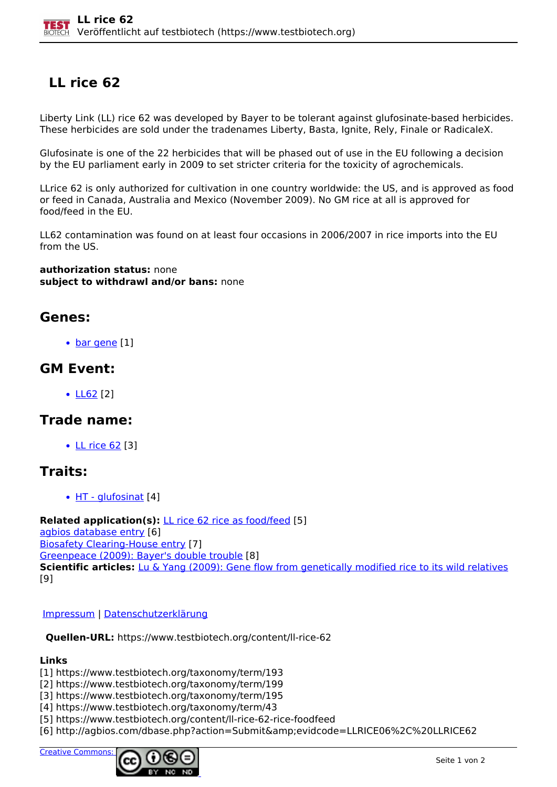# **LL rice 62**

Liberty Link (LL) rice 62 was developed by Bayer to be tolerant against glufosinate-based herbicides. These herbicides are sold under the tradenames Liberty, Basta, Ignite, Rely, Finale or RadicaleX.

Glufosinate is one of the 22 herbicides that will be phased out of use in the EU following a decision by the EU parliament early in 2009 to set stricter criteria for the toxicity of agrochemicals.

LLrice 62 is only authorized for cultivation in one country worldwide: the US, and is approved as food or feed in Canada, Australia and Mexico (November 2009). No GM rice at all is approved for food/feed in the EU.

LL62 contamination was found on at least four occasions in 2006/2007 in rice imports into the EU from the US.

**authorization status:** none **subject to withdrawl and/or bans:** none

#### **Genes:**

• [bar gene](https://www.testbiotech.org/taxonomy/term/193) [1]

### **GM Event:**

LL62 [2]

### **Trade name:**

• LL rice 62 [3]

## **Traits:**

• HT - glufosinat [4]

**Related application(s):** LL rice 62 rice as food/feed [5] agbios database entry [6] Biosafety Clearing-House entry [7] Greenpeace (2009): Bayer's double trouble [8] **Scientific articles:** Lu & Yang (2009): Gene flow from genetically modified rice to its wild relatives [9]

#### Impressum | Datenschutzerklärung

**Quellen-URL:** https://www.testbiotech.org/content/ll-rice-62

#### **Links**

- [1] https://www.testbiotech.org/taxonomy/term/193
- [2] https://www.testbiotech.org/taxonomy/term/199
- [3] https://www.testbiotech.org/taxonomy/term/195
- [4] https://www.testbiotech.org/taxonomy/term/43
- [5] https://www.testbiotech.org/content/ll-rice-62-rice-foodfeed
- [6] http://agbios.com/dbase.php?action=Submit&evidcode=LLRICE06%2C%20LLRICE62